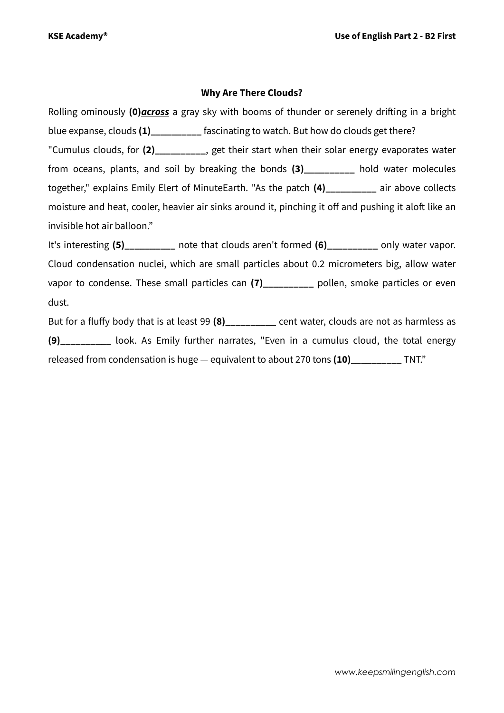#### **Why Are There Clouds?**

Rolling ominously **(0)***across* a gray sky with booms of thunder or serenely drifting in a bright blue expanse, clouds (1) **the fascinating to watch. But how do clouds get there?** "Cumulus clouds, for **(2)\_\_\_\_\_\_\_\_\_\_**, get their start when their solar energy evaporates water from oceans, plants, and soil by breaking the bonds **(3)\_\_\_\_\_\_\_\_\_\_** hold water molecules together," explains Emily Elert of MinuteEarth. "As the patch **(4)\_\_\_\_\_\_\_\_\_\_** air above collects moisture and heat, cooler, heavier air sinks around it, pinching it off and pushing it aloft like an invisible hot air balloon."

It's interesting (5) hote that clouds aren't formed (6) only water vapor. Cloud condensation nuclei, which are small particles about 0.2 micrometers big, allow water vapor to condense. These small particles can (7) pollen, smoke particles or even dust.

But for a fluffy body that is at least 99 (8) cent water, clouds are not as harmless as **(9)\_\_\_\_\_\_\_\_\_\_** look. As Emily further narrates, "Even in a cumulus cloud, the total energy released from condensation is huge — equivalent to about 270 tons **(10)\_\_\_\_\_\_\_\_\_\_** TNT."